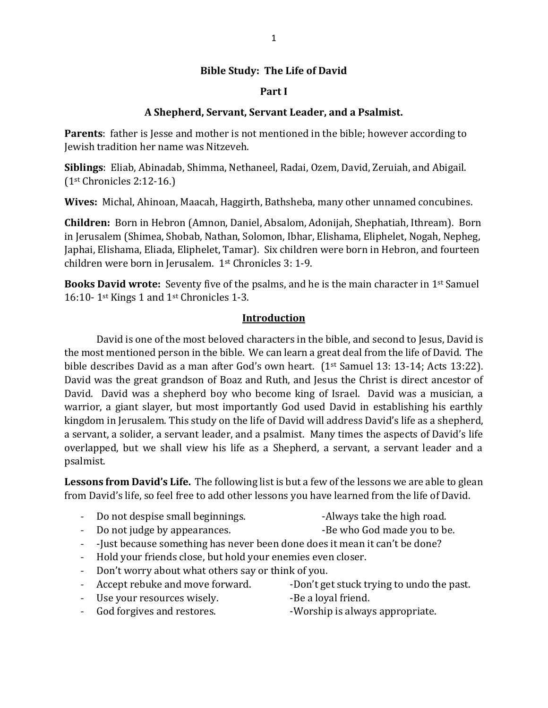## **Bible Study: The Life of David**

## **Part I**

## **A Shepherd, Servant, Servant Leader, and a Psalmist.**

**Parents**: father is Jesse and mother is not mentioned in the bible; however according to Jewish tradition her name was Nitzeveh.

**Siblings**: Eliab, Abinadab, Shimma, Nethaneel, Radai, Ozem, David, Zeruiah, and Abigail. (1st Chronicles 2:12-16.)

**Wives:** Michal, Ahinoan, Maacah, Haggirth, Bathsheba, many other unnamed concubines.

**Children:** Born in Hebron (Amnon, Daniel, Absalom, Adonijah, Shephatiah, Ithream). Born in Jerusalem (Shimea, Shobab, Nathan, Solomon, Ibhar, Elishama, Eliphelet, Nogah, Nepheg, Japhai, Elishama, Eliada, Eliphelet, Tamar). Six children were born in Hebron, and fourteen children were born in Jerusalem. 1st Chronicles 3: 1-9.

**Books David wrote:** Seventy five of the psalms, and he is the main character in 1st Samuel 16:10- 1st Kings 1 and 1st Chronicles 1-3.

### **Introduction**

David is one of the most beloved characters in the bible, and second to Jesus, David is the most mentioned person in the bible. We can learn a great deal from the life of David. The bible describes David as a man after God's own heart. (1<sup>st</sup> Samuel 13: 13-14; Acts 13:22). David was the great grandson of Boaz and Ruth, and Jesus the Christ is direct ancestor of David. David was a shepherd boy who become king of Israel. David was a musician, a warrior, a giant slayer, but most importantly God used David in establishing his earthly kingdom in Jerusalem. This study on the life of David will address David's life as a shepherd, a servant, a solider, a servant leader, and a psalmist. Many times the aspects of David's life overlapped, but we shall view his life as a Shepherd, a servant, a servant leader and a psalmist.

**Lessons from David's Life.** The following list is but a few of the lessons we are able to glean from David's life, so feel free to add other lessons you have learned from the life of David.

- Do not despise small beginnings. The same state that high road.
- 
- Do not judge by appearances.  $\qquad \qquad$  -Be who God made you to be.
	-
- -Just because something has never been done does it mean it can't be done?
- Hold your friends close, but hold your enemies even closer.
- Don't worry about what others say or think of you.
- - Accept rebuke and move forward. -Don't get stuck trying to undo the past.
- Use your resources wisely. The same of the Be a loyal friend.
	-
- God forgives and restores. The Supersythe Supersity of Supersythese Supersythese Supersythese Supersythese Supersythese Supersythese Supersythese Supersythese Supersythese Supersythese Supersythese Supersythese Supersyth
-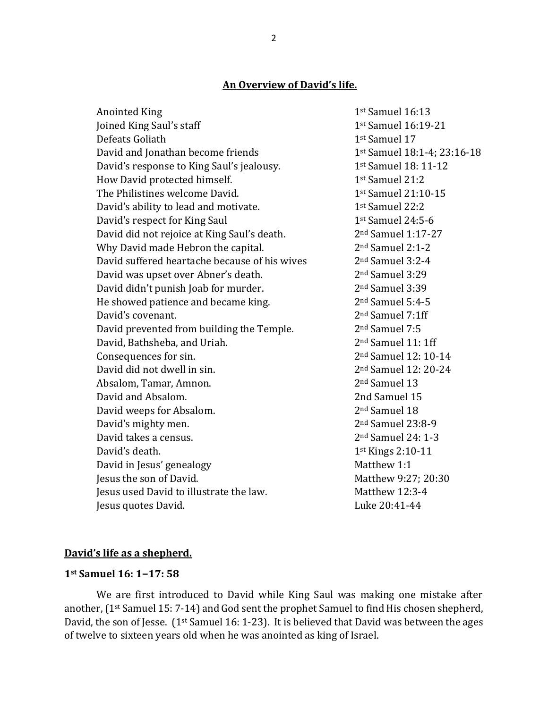# **An Overview of David's life.**

| <b>Anointed King</b>                          | 1st Samuel 16:13               |
|-----------------------------------------------|--------------------------------|
| Joined King Saul's staff                      | 1st Samuel 16:19-21            |
| Defeats Goliath                               | 1st Samuel 17                  |
| David and Jonathan become friends             | 1st Samuel 18:1-4; 23:16-18    |
| David's response to King Saul's jealousy.     | 1st Samuel 18: 11-12           |
| How David protected himself.                  | 1st Samuel 21:2                |
| The Philistines welcome David.                | 1st Samuel 21:10-15            |
| David's ability to lead and motivate.         | 1st Samuel 22:2                |
| David's respect for King Saul                 | 1st Samuel 24:5-6              |
| David did not rejoice at King Saul's death.   | 2nd Samuel 1:17-27             |
| Why David made Hebron the capital.            | 2 <sup>nd</sup> Samuel 2:1-2   |
| David suffered heartache because of his wives | 2 <sup>nd</sup> Samuel 3:2-4   |
| David was upset over Abner's death.           | 2 <sup>nd</sup> Samuel 3:29    |
| David didn't punish Joab for murder.          | 2 <sup>nd</sup> Samuel 3:39    |
| He showed patience and became king.           | 2 <sup>nd</sup> Samuel 5:4-5   |
| David's covenant.                             | 2 <sup>nd</sup> Samuel 7:1ff   |
| David prevented from building the Temple.     | 2 <sup>nd</sup> Samuel 7:5     |
| David, Bathsheba, and Uriah.                  | 2 <sup>nd</sup> Samuel 11: 1ff |
| Consequences for sin.                         | 2nd Samuel 12: 10-14           |
| David did not dwell in sin.                   | 2nd Samuel 12: 20-24           |
| Absalom, Tamar, Amnon.                        | 2 <sup>nd</sup> Samuel 13      |
| David and Absalom.                            | 2nd Samuel 15                  |
| David weeps for Absalom.                      | 2 <sup>nd</sup> Samuel 18      |
| David's mighty men.                           | $2nd$ Samuel 23:8-9            |
| David takes a census.                         | 2 <sup>nd</sup> Samuel 24: 1-3 |
| David's death.                                | 1st Kings 2:10-11              |
| David in Jesus' genealogy                     | Matthew 1:1                    |
| Jesus the son of David.                       | Matthew 9:27; 20:30            |
| Jesus used David to illustrate the law.       | Matthew 12:3-4                 |
| Jesus quotes David.                           | Luke 20:41-44                  |

# **David's life as a shepherd.**

### **1st Samuel 16: 1−17: 58**

We are first introduced to David while King Saul was making one mistake after another, (1st Samuel 15: 7-14) and God sent the prophet Samuel to find His chosen shepherd, David, the son of Jesse. (1<sup>st</sup> Samuel 16: 1-23). It is believed that David was between the ages of twelve to sixteen years old when he was anointed as king of Israel.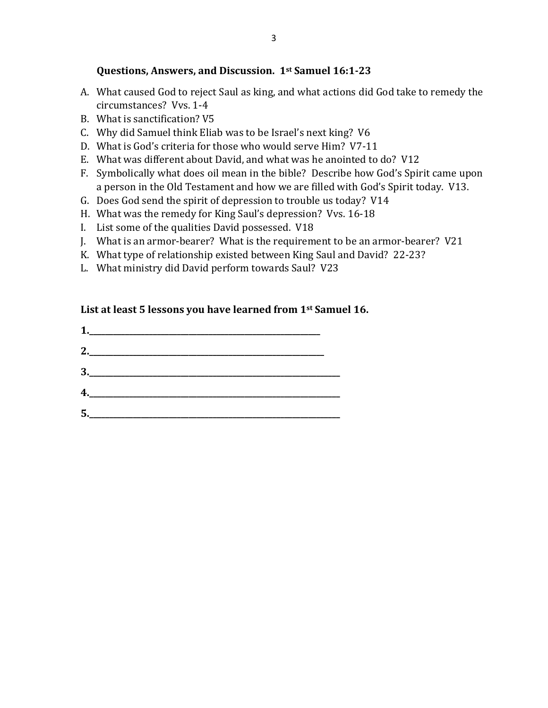### **Questions, Answers, and Discussion. 1st Samuel 16:1-23**

- A. What caused God to reject Saul as king, and what actions did God take to remedy the circumstances? Vvs. 1-4
- B. What is sanctification? V5
- C. Why did Samuel think Eliab was to be Israel's next king? V6
- D. What is God's criteria for those who would serve Him? V7-11
- E. What was different about David, and what was he anointed to do? V12
- F. Symbolically what does oil mean in the bible? Describe how God's Spirit came upon a person in the Old Testament and how we are filled with God's Spirit today. V13.
- G. Does God send the spirit of depression to trouble us today? V14
- H. What was the remedy for King Saul's depression? Vvs. 16-18
- I. List some of the qualities David possessed. V18
- J. What is an armor-bearer? What is the requirement to be an armor-bearer? V21
- K. What type of relationship existed between King Saul and David? 22-23?
- L. What ministry did David perform towards Saul? V23

## **List at least 5 lessons you have learned from 1st Samuel 16.**

| 4. |  |  |  |
|----|--|--|--|
| 5. |  |  |  |
|    |  |  |  |